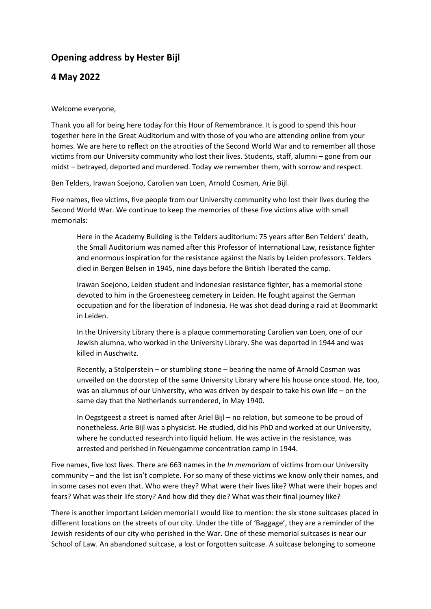## **Opening address by Hester Bijl**

## **4 May 2022**

## Welcome everyone,

Thank you all for being here today for this Hour of Remembrance. It is good to spend this hour together here in the Great Auditorium and with those of you who are attending online from your homes. We are here to reflect on the atrocities of the Second World War and to remember all those victims from our University community who lost their lives. Students, staff, alumni – gone from our midst – betrayed, deported and murdered. Today we remember them, with sorrow and respect.

Ben Telders, Irawan Soejono, Carolien van Loen, Arnold Cosman, Arie Bijl.

Five names, five victims, five people from our University community who lost their lives during the Second World War. We continue to keep the memories of these five victims alive with small memorials:

Here in the Academy Building is the Telders auditorium: 75 years after Ben Telders' death, the Small Auditorium was named after this Professor of International Law, resistance fighter and enormous inspiration for the resistance against the Nazis by Leiden professors. Telders died in Bergen Belsen in 1945, nine days before the British liberated the camp.

Irawan Soejono, Leiden student and Indonesian resistance fighter, has a memorial stone devoted to him in the Groenesteeg cemetery in Leiden. He fought against the German occupation and for the liberation of Indonesia. He was shot dead during a raid at Boommarkt in Leiden.

In the University Library there is a plaque commemorating Carolien van Loen, one of our Jewish alumna, who worked in the University Library. She was deported in 1944 and was killed in Auschwitz.

Recently, a Stolperstein – or stumbling stone – bearing the name of Arnold Cosman was unveiled on the doorstep of the same University Library where his house once stood. He, too, was an alumnus of our University, who was driven by despair to take his own life – on the same day that the Netherlands surrendered, in May 1940.

In Oegstgeest a street is named after Ariel Bijl – no relation, but someone to be proud of nonetheless. Arie Bijl was a physicist. He studied, did his PhD and worked at our University, where he conducted research into liquid helium. He was active in the resistance, was arrested and perished in Neuengamme concentration camp in 1944.

Five names, five lost lives. There are 663 names in the *In memoriam* of victims from our University community – and the list isn't complete. For so many of these victims we know only their names, and in some cases not even that. Who were they? What were their lives like? What were their hopes and fears? What was their life story? And how did they die? What was their final journey like?

There is another important Leiden memorial I would like to mention: the six stone suitcases placed in different locations on the streets of our city. Under the title of 'Baggage', they are a reminder of the Jewish residents of our city who perished in the War. One of these memorial suitcases is near our School of Law. An abandoned suitcase, a lost or forgotten suitcase. A suitcase belonging to someone